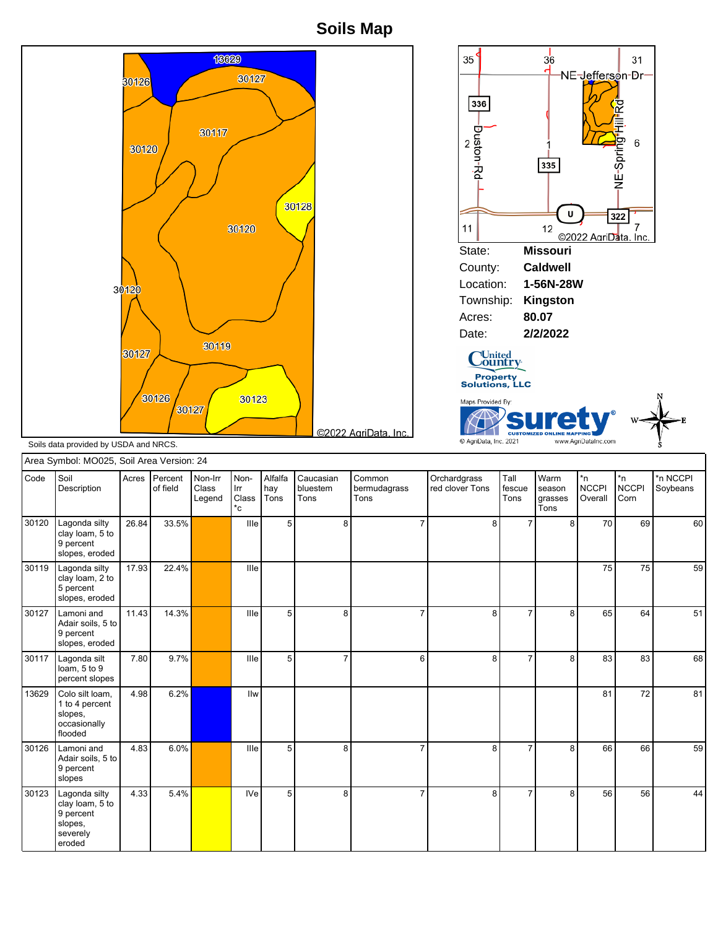**Soils Map**



|       | Area Symbol: MO025, Soil Area Version: 24                                      |       |                     |                            |                            |                        |                               |                                |                                 |                        |                                   |                               |                            |                      |
|-------|--------------------------------------------------------------------------------|-------|---------------------|----------------------------|----------------------------|------------------------|-------------------------------|--------------------------------|---------------------------------|------------------------|-----------------------------------|-------------------------------|----------------------------|----------------------|
| Code  | l Soil<br>Description                                                          | Acres | Percent<br>of field | Non-Irr<br>Class<br>Legend | Non-<br>Irr<br>Class<br>*c | Alfalfa<br>hay<br>Tons | Caucasian<br>bluestem<br>Tons | Common<br>bermudagrass<br>Tons | Orchardgrass<br>red clover Tons | Tall<br>fescue<br>Tons | Warm<br>season<br>grasses<br>Tons | *n<br><b>NCCPI</b><br>Overall | *n<br><b>NCCPI</b><br>Corn | *n NCCPI<br>Soybeans |
| 30120 | Lagonda silty<br>clay loam, 5 to<br>9 percent<br>slopes, eroded                | 26.84 | 33.5%               |                            | Ille                       | 5                      | 8                             | 7                              | 8                               | $\overline{7}$         | 8 <sup>1</sup>                    | 70                            | 69                         | 60                   |
| 30119 | Lagonda silty<br>clay loam, 2 to<br>5 percent<br>slopes, eroded                | 17.93 | 22.4%               |                            | Ille                       |                        |                               |                                |                                 |                        |                                   | 75                            | 75                         | 59                   |
| 30127 | Lamoni and<br>Adair soils, 5 to<br>9 percent<br>slopes, eroded                 | 11.43 | 14.3%               |                            | Ille                       | 5                      | 8                             | $\overline{7}$                 | 8                               | $\overline{7}$         | 8 <sup>1</sup>                    | 65                            | 64                         | 51                   |
| 30117 | Lagonda silt<br>loam, 5 to 9<br>percent slopes                                 | 7.80  | 9.7%                |                            | Ille                       | 5                      | $\overline{7}$                | 6                              | 8                               | $\overline{7}$         | 8                                 | 83                            | 83                         | 68                   |
| 13629 | Colo silt loam,<br>1 to 4 percent<br>slopes,<br>occasionally<br>flooded        | 4.98  | 6.2%                |                            | Ilw                        |                        |                               |                                |                                 |                        |                                   | 81                            | 72                         | 81                   |
| 30126 | Lamoni and<br>Adair soils, 5 to<br>9 percent<br>slopes                         | 4.83  | 6.0%                |                            | Ille                       | 5                      | 8                             |                                | 8                               |                        | 8                                 | 66                            | 66                         | 59                   |
| 30123 | Lagonda silty<br>clay loam, 5 to<br>9 percent<br>slopes,<br>severely<br>eroded | 4.33  | 5.4%                |                            | <b>IVe</b>                 | 5                      | 8                             | $\overline{7}$                 | 8                               | $\overline{7}$         | 8                                 | 56                            | 56                         | 44                   |